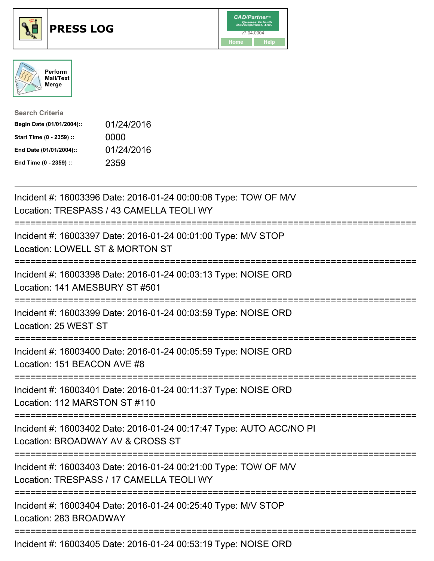





| <b>Search Criteria</b>    |            |
|---------------------------|------------|
| Begin Date (01/01/2004):: | 01/24/2016 |
| Start Time (0 - 2359) ::  | 0000       |
| End Date (01/01/2004)::   | 01/24/2016 |
| End Time (0 - 2359) ::    | 2359       |

| Incident #: 16003396 Date: 2016-01-24 00:00:08 Type: TOW OF M/V<br>Location: TRESPASS / 43 CAMELLA TEOLI WY                          |
|--------------------------------------------------------------------------------------------------------------------------------------|
| Incident #: 16003397 Date: 2016-01-24 00:01:00 Type: M/V STOP<br>Location: LOWELL ST & MORTON ST<br>------------------               |
| Incident #: 16003398 Date: 2016-01-24 00:03:13 Type: NOISE ORD<br>Location: 141 AMESBURY ST #501                                     |
| Incident #: 16003399 Date: 2016-01-24 00:03:59 Type: NOISE ORD<br>Location: 25 WEST ST                                               |
| Incident #: 16003400 Date: 2016-01-24 00:05:59 Type: NOISE ORD<br>Location: 151 BEACON AVE #8<br>.---------------------------------- |
| Incident #: 16003401 Date: 2016-01-24 00:11:37 Type: NOISE ORD<br>Location: 112 MARSTON ST #110                                      |
| Incident #: 16003402 Date: 2016-01-24 00:17:47 Type: AUTO ACC/NO PI<br>Location: BROADWAY AV & CROSS ST                              |
| Incident #: 16003403 Date: 2016-01-24 00:21:00 Type: TOW OF M/V<br>Location: TRESPASS / 17 CAMELLA TEOLI WY                          |
| Incident #: 16003404 Date: 2016-01-24 00:25:40 Type: M/V STOP<br>Location: 283 BROADWAY                                              |
|                                                                                                                                      |

Incident #: 16003405 Date: 2016-01-24 00:53:19 Type: NOISE ORD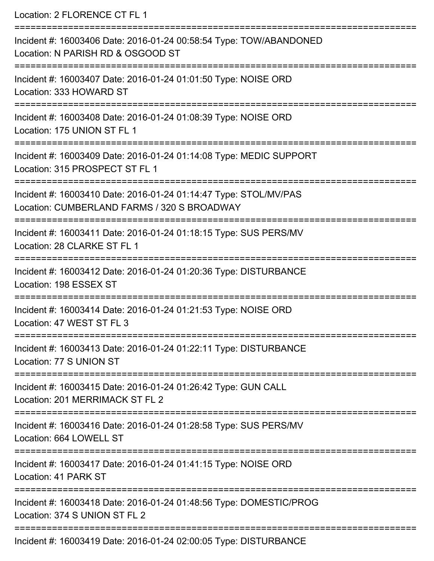Location: 2 FLORENCE CT FL 1

| Incident #: 16003406 Date: 2016-01-24 00:58:54 Type: TOW/ABANDONED<br>Location: N PARISH RD & OSGOOD ST         |
|-----------------------------------------------------------------------------------------------------------------|
| Incident #: 16003407 Date: 2016-01-24 01:01:50 Type: NOISE ORD<br>Location: 333 HOWARD ST                       |
| Incident #: 16003408 Date: 2016-01-24 01:08:39 Type: NOISE ORD<br>Location: 175 UNION ST FL 1                   |
| Incident #: 16003409 Date: 2016-01-24 01:14:08 Type: MEDIC SUPPORT<br>Location: 315 PROSPECT ST FL 1            |
| Incident #: 16003410 Date: 2016-01-24 01:14:47 Type: STOL/MV/PAS<br>Location: CUMBERLAND FARMS / 320 S BROADWAY |
| Incident #: 16003411 Date: 2016-01-24 01:18:15 Type: SUS PERS/MV<br>Location: 28 CLARKE ST FL 1                 |
| Incident #: 16003412 Date: 2016-01-24 01:20:36 Type: DISTURBANCE<br>Location: 198 ESSEX ST                      |
| Incident #: 16003414 Date: 2016-01-24 01:21:53 Type: NOISE ORD<br>Location: 47 WEST ST FL 3                     |
| Incident #: 16003413 Date: 2016-01-24 01:22:11 Type: DISTURBANCE<br>Location: 77 S UNION ST                     |
| Incident #: 16003415 Date: 2016-01-24 01:26:42 Type: GUN CALL<br>Location: 201 MERRIMACK ST FL 2                |
| Incident #: 16003416 Date: 2016-01-24 01:28:58 Type: SUS PERS/MV<br>Location: 664 LOWELL ST                     |
| Incident #: 16003417 Date: 2016-01-24 01:41:15 Type: NOISE ORD<br>Location: 41 PARK ST                          |
| Incident #: 16003418 Date: 2016-01-24 01:48:56 Type: DOMESTIC/PROG<br>Location: 374 S UNION ST FL 2             |
| Incident #: 16003419 Date: 2016-01-24 02:00:05 Type: DISTURBANCE                                                |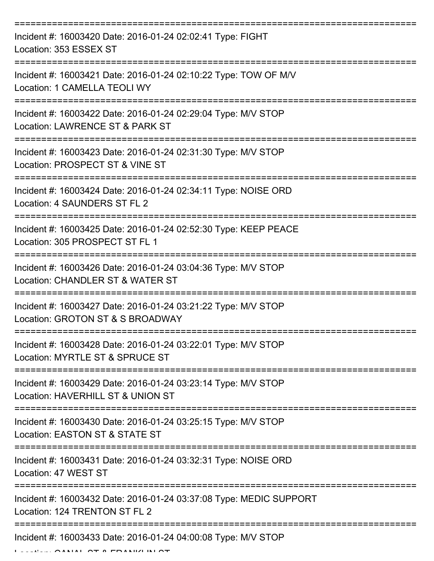| Incident #: 16003420 Date: 2016-01-24 02:02:41 Type: FIGHT<br>Location: 353 ESSEX ST                |
|-----------------------------------------------------------------------------------------------------|
| Incident #: 16003421 Date: 2016-01-24 02:10:22 Type: TOW OF M/V<br>Location: 1 CAMELLA TEOLI WY     |
| Incident #: 16003422 Date: 2016-01-24 02:29:04 Type: M/V STOP<br>Location: LAWRENCE ST & PARK ST    |
| Incident #: 16003423 Date: 2016-01-24 02:31:30 Type: M/V STOP<br>Location: PROSPECT ST & VINE ST    |
| Incident #: 16003424 Date: 2016-01-24 02:34:11 Type: NOISE ORD<br>Location: 4 SAUNDERS ST FL 2      |
| Incident #: 16003425 Date: 2016-01-24 02:52:30 Type: KEEP PEACE<br>Location: 305 PROSPECT ST FL 1   |
| Incident #: 16003426 Date: 2016-01-24 03:04:36 Type: M/V STOP<br>Location: CHANDLER ST & WATER ST   |
| Incident #: 16003427 Date: 2016-01-24 03:21:22 Type: M/V STOP<br>Location: GROTON ST & S BROADWAY   |
| Incident #: 16003428 Date: 2016-01-24 03:22:01 Type: M/V STOP<br>Location: MYRTLE ST & SPRUCE ST    |
| Incident #: 16003429 Date: 2016-01-24 03:23:14 Type: M/V STOP<br>Location: HAVERHILL ST & UNION ST  |
| Incident #: 16003430 Date: 2016-01-24 03:25:15 Type: M/V STOP<br>Location: EASTON ST & STATE ST     |
| Incident #: 16003431 Date: 2016-01-24 03:32:31 Type: NOISE ORD<br>Location: 47 WEST ST              |
| Incident #: 16003432 Date: 2016-01-24 03:37:08 Type: MEDIC SUPPORT<br>Location: 124 TRENTON ST FL 2 |
| Incident #: 16003433 Date: 2016-01-24 04:00:08 Type: M/V STOP                                       |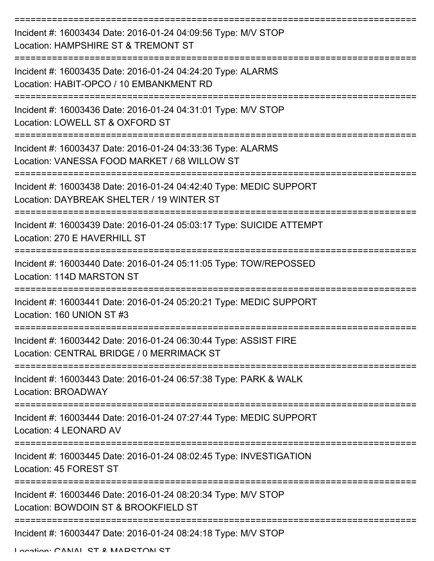| Incident #: 16003434 Date: 2016-01-24 04:09:56 Type: M/V STOP<br>Location: HAMPSHIRE ST & TREMONT ST            |
|-----------------------------------------------------------------------------------------------------------------|
| Incident #: 16003435 Date: 2016-01-24 04:24:20 Type: ALARMS<br>Location: HABIT-OPCO / 10 EMBANKMENT RD          |
| Incident #: 16003436 Date: 2016-01-24 04:31:01 Type: M/V STOP<br>Location: LOWELL ST & OXFORD ST                |
| Incident #: 16003437 Date: 2016-01-24 04:33:36 Type: ALARMS<br>Location: VANESSA FOOD MARKET / 68 WILLOW ST     |
| Incident #: 16003438 Date: 2016-01-24 04:42:40 Type: MEDIC SUPPORT<br>Location: DAYBREAK SHELTER / 19 WINTER ST |
| Incident #: 16003439 Date: 2016-01-24 05:03:17 Type: SUICIDE ATTEMPT<br>Location: 270 E HAVERHILL ST            |
| Incident #: 16003440 Date: 2016-01-24 05:11:05 Type: TOW/REPOSSED<br>Location: 114D MARSTON ST                  |
| Incident #: 16003441 Date: 2016-01-24 05:20:21 Type: MEDIC SUPPORT<br>Location: 160 UNION ST #3                 |
| Incident #: 16003442 Date: 2016-01-24 06:30:44 Type: ASSIST FIRE<br>Location: CENTRAL BRIDGE / 0 MERRIMACK ST   |
| Incident #: 16003443 Date: 2016-01-24 06:57:38 Type: PARK & WALK<br><b>Location: BROADWAY</b>                   |
| Incident #: 16003444 Date: 2016-01-24 07:27:44 Type: MEDIC SUPPORT<br>Location: 4 LEONARD AV                    |
| Incident #: 16003445 Date: 2016-01-24 08:02:45 Type: INVESTIGATION<br>Location: 45 FOREST ST                    |
| Incident #: 16003446 Date: 2016-01-24 08:20:34 Type: M/V STOP<br>Location: BOWDOIN ST & BROOKFIELD ST           |
| Incident #: 16003447 Date: 2016-01-24 08:24:18 Type: M/V STOP                                                   |

Location: CANIAL ST & MADSTON ST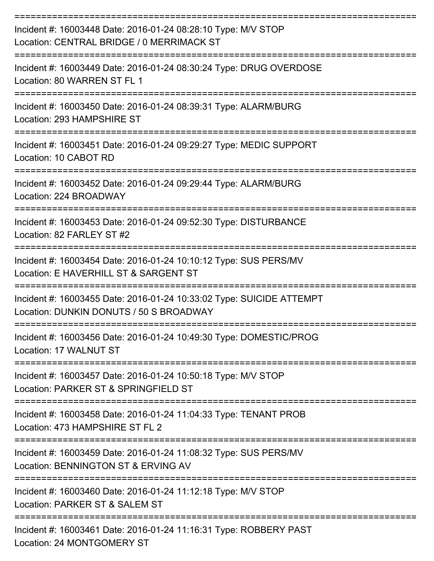| Incident #: 16003448 Date: 2016-01-24 08:28:10 Type: M/V STOP<br>Location: CENTRAL BRIDGE / 0 MERRIMACK ST      |
|-----------------------------------------------------------------------------------------------------------------|
| Incident #: 16003449 Date: 2016-01-24 08:30:24 Type: DRUG OVERDOSE<br>Location: 80 WARREN ST FL 1               |
| Incident #: 16003450 Date: 2016-01-24 08:39:31 Type: ALARM/BURG<br>Location: 293 HAMPSHIRE ST                   |
| Incident #: 16003451 Date: 2016-01-24 09:29:27 Type: MEDIC SUPPORT<br>Location: 10 CABOT RD                     |
| Incident #: 16003452 Date: 2016-01-24 09:29:44 Type: ALARM/BURG<br>Location: 224 BROADWAY                       |
| Incident #: 16003453 Date: 2016-01-24 09:52:30 Type: DISTURBANCE<br>Location: 82 FARLEY ST #2                   |
| Incident #: 16003454 Date: 2016-01-24 10:10:12 Type: SUS PERS/MV<br>Location: E HAVERHILL ST & SARGENT ST       |
| Incident #: 16003455 Date: 2016-01-24 10:33:02 Type: SUICIDE ATTEMPT<br>Location: DUNKIN DONUTS / 50 S BROADWAY |
| Incident #: 16003456 Date: 2016-01-24 10:49:30 Type: DOMESTIC/PROG<br>Location: 17 WALNUT ST                    |
| Incident #: 16003457 Date: 2016-01-24 10:50:18 Type: M/V STOP<br>Location: PARKER ST & SPRINGFIELD ST           |
| Incident #: 16003458 Date: 2016-01-24 11:04:33 Type: TENANT PROB<br>Location: 473 HAMPSHIRE ST FL 2             |
| Incident #: 16003459 Date: 2016-01-24 11:08:32 Type: SUS PERS/MV<br>Location: BENNINGTON ST & ERVING AV         |
| Incident #: 16003460 Date: 2016-01-24 11:12:18 Type: M/V STOP<br>Location: PARKER ST & SALEM ST                 |
| Incident #: 16003461 Date: 2016-01-24 11:16:31 Type: ROBBERY PAST<br>Location: 24 MONTGOMERY ST                 |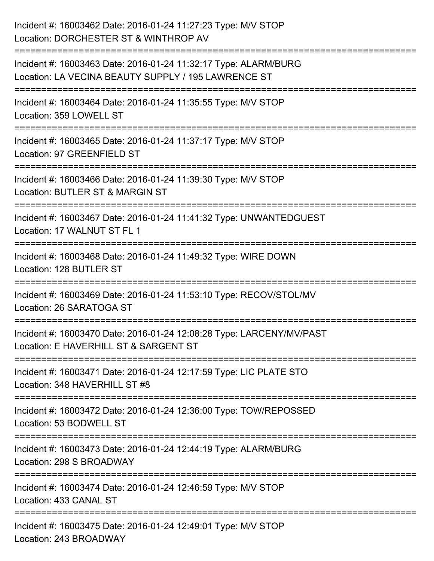| Incident #: 16003462 Date: 2016-01-24 11:27:23 Type: M/V STOP<br>Location: DORCHESTER ST & WINTHROP AV                             |
|------------------------------------------------------------------------------------------------------------------------------------|
| Incident #: 16003463 Date: 2016-01-24 11:32:17 Type: ALARM/BURG<br>Location: LA VECINA BEAUTY SUPPLY / 195 LAWRENCE ST             |
| Incident #: 16003464 Date: 2016-01-24 11:35:55 Type: M/V STOP<br>Location: 359 LOWELL ST                                           |
| ===================================<br>Incident #: 16003465 Date: 2016-01-24 11:37:17 Type: M/V STOP<br>Location: 97 GREENFIELD ST |
| Incident #: 16003466 Date: 2016-01-24 11:39:30 Type: M/V STOP<br>Location: BUTLER ST & MARGIN ST                                   |
| Incident #: 16003467 Date: 2016-01-24 11:41:32 Type: UNWANTEDGUEST<br>Location: 17 WALNUT ST FL 1                                  |
| ====================<br>Incident #: 16003468 Date: 2016-01-24 11:49:32 Type: WIRE DOWN<br>Location: 128 BUTLER ST                  |
| Incident #: 16003469 Date: 2016-01-24 11:53:10 Type: RECOV/STOL/MV<br>Location: 26 SARATOGA ST                                     |
| Incident #: 16003470 Date: 2016-01-24 12:08:28 Type: LARCENY/MV/PAST<br>Location: E HAVERHILL ST & SARGENT ST                      |
| Incident #: 16003471 Date: 2016-01-24 12:17:59 Type: LIC PLATE STO<br>Location: 348 HAVERHILL ST #8                                |
| Incident #: 16003472 Date: 2016-01-24 12:36:00 Type: TOW/REPOSSED<br>Location: 53 BODWELL ST                                       |
| Incident #: 16003473 Date: 2016-01-24 12:44:19 Type: ALARM/BURG<br>Location: 298 S BROADWAY                                        |
| Incident #: 16003474 Date: 2016-01-24 12:46:59 Type: M/V STOP<br>Location: 433 CANAL ST                                            |
| Incident #: 16003475 Date: 2016-01-24 12:49:01 Type: M/V STOP<br>Location: 243 BROADWAY                                            |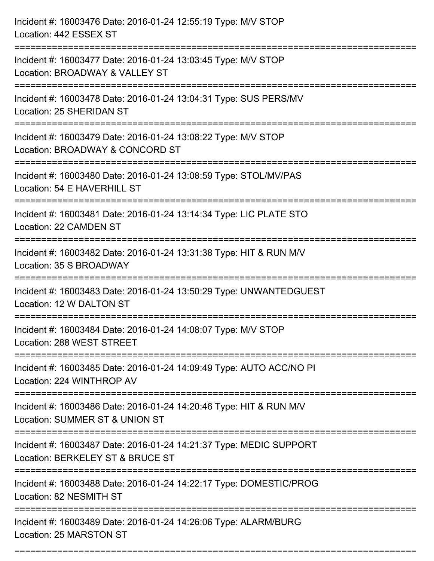| Incident #: 16003476 Date: 2016-01-24 12:55:19 Type: M/V STOP<br>Location: 442 ESSEX ST                |
|--------------------------------------------------------------------------------------------------------|
| Incident #: 16003477 Date: 2016-01-24 13:03:45 Type: M/V STOP<br>Location: BROADWAY & VALLEY ST        |
| Incident #: 16003478 Date: 2016-01-24 13:04:31 Type: SUS PERS/MV<br>Location: 25 SHERIDAN ST           |
| Incident #: 16003479 Date: 2016-01-24 13:08:22 Type: M/V STOP<br>Location: BROADWAY & CONCORD ST       |
| Incident #: 16003480 Date: 2016-01-24 13:08:59 Type: STOL/MV/PAS<br>Location: 54 E HAVERHILL ST        |
| Incident #: 16003481 Date: 2016-01-24 13:14:34 Type: LIC PLATE STO<br>Location: 22 CAMDEN ST           |
| Incident #: 16003482 Date: 2016-01-24 13:31:38 Type: HIT & RUN M/V<br>Location: 35 S BROADWAY          |
| Incident #: 16003483 Date: 2016-01-24 13:50:29 Type: UNWANTEDGUEST<br>Location: 12 W DALTON ST         |
| Incident #: 16003484 Date: 2016-01-24 14:08:07 Type: M/V STOP<br>Location: 288 WEST STREET             |
| Incident #: 16003485 Date: 2016-01-24 14:09:49 Type: AUTO ACC/NO PI<br>Location: 224 WINTHROP AV       |
| Incident #: 16003486 Date: 2016-01-24 14:20:46 Type: HIT & RUN M/V<br>Location: SUMMER ST & UNION ST   |
| Incident #: 16003487 Date: 2016-01-24 14:21:37 Type: MEDIC SUPPORT<br>Location: BERKELEY ST & BRUCE ST |
| Incident #: 16003488 Date: 2016-01-24 14:22:17 Type: DOMESTIC/PROG<br>Location: 82 NESMITH ST          |
| Incident #: 16003489 Date: 2016-01-24 14:26:06 Type: ALARM/BURG<br>Location: 25 MARSTON ST             |

===========================================================================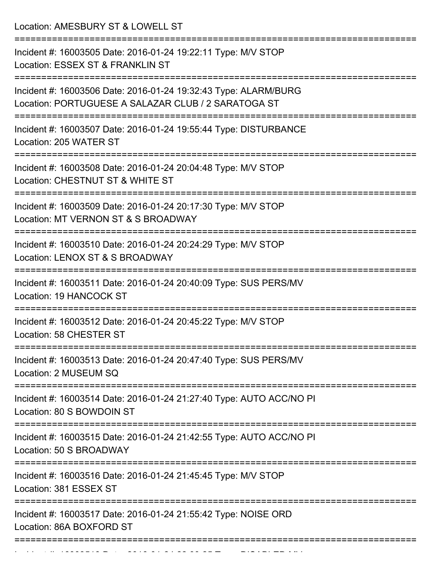Location: AMESBURY ST & LOWELL ST

| Incident #: 16003505 Date: 2016-01-24 19:22:11 Type: M/V STOP<br>Location: ESSEX ST & FRANKLIN ST                      |
|------------------------------------------------------------------------------------------------------------------------|
| Incident #: 16003506 Date: 2016-01-24 19:32:43 Type: ALARM/BURG<br>Location: PORTUGUESE A SALAZAR CLUB / 2 SARATOGA ST |
| Incident #: 16003507 Date: 2016-01-24 19:55:44 Type: DISTURBANCE<br>Location: 205 WATER ST                             |
| Incident #: 16003508 Date: 2016-01-24 20:04:48 Type: M/V STOP<br>Location: CHESTNUT ST & WHITE ST                      |
| Incident #: 16003509 Date: 2016-01-24 20:17:30 Type: M/V STOP<br>Location: MT VERNON ST & S BROADWAY                   |
| Incident #: 16003510 Date: 2016-01-24 20:24:29 Type: M/V STOP<br>Location: LENOX ST & S BROADWAY                       |
| Incident #: 16003511 Date: 2016-01-24 20:40:09 Type: SUS PERS/MV<br><b>Location: 19 HANCOCK ST</b>                     |
| Incident #: 16003512 Date: 2016-01-24 20:45:22 Type: M/V STOP<br>Location: 58 CHESTER ST                               |
| Incident #: 16003513 Date: 2016-01-24 20:47:40 Type: SUS PERS/MV<br>Location: 2 MUSEUM SQ                              |
| ------------------<br>Incident #: 16003514 Date: 2016-01-24 21:27:40 Type: AUTO ACC/NO PI<br>Location: 80 S BOWDOIN ST |
| Incident #: 16003515 Date: 2016-01-24 21:42:55 Type: AUTO ACC/NO PI<br>Location: 50 S BROADWAY                         |
| Incident #: 16003516 Date: 2016-01-24 21:45:45 Type: M/V STOP<br>Location: 381 ESSEX ST                                |
| Incident #: 16003517 Date: 2016-01-24 21:55:42 Type: NOISE ORD<br>Location: 86A BOXFORD ST                             |
|                                                                                                                        |

Incident #: 16003518 Date: 2016 01 24 22:00:25 Type: DISABLED MV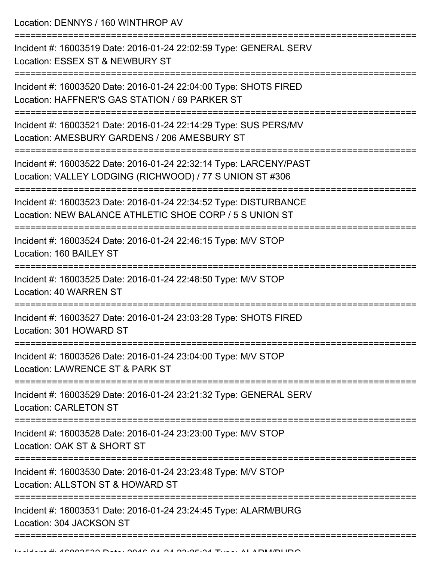Location: DENNYS / 160 WINTHROP AV

=========================================================================== Incident #: 16003519 Date: 2016-01-24 22:02:59 Type: GENERAL SERV Location: ESSEX ST & NEWBURY ST =========================================================================== Incident #: 16003520 Date: 2016-01-24 22:04:00 Type: SHOTS FIRED Location: HAFFNER'S GAS STATION / 69 PARKER ST =========================================================================== Incident #: 16003521 Date: 2016-01-24 22:14:29 Type: SUS PERS/MV Location: AMESBURY GARDENS / 206 AMESBURY ST =========================================================================== Incident #: 16003522 Date: 2016-01-24 22:32:14 Type: LARCENY/PAST Location: VALLEY LODGING (RICHWOOD) / 77 S UNION ST #306 =========================================================================== Incident #: 16003523 Date: 2016-01-24 22:34:52 Type: DISTURBANCE Location: NEW BALANCE ATHLETIC SHOE CORP / 5 S UNION ST =========================================================================== Incident #: 16003524 Date: 2016-01-24 22:46:15 Type: M/V STOP Location: 160 BAILEY ST =========================================================================== Incident #: 16003525 Date: 2016-01-24 22:48:50 Type: M/V STOP Location: 40 WARREN ST =========================================================================== Incident #: 16003527 Date: 2016-01-24 23:03:28 Type: SHOTS FIRED Location: 301 HOWARD ST =========================================================================== Incident #: 16003526 Date: 2016-01-24 23:04:00 Type: M/V STOP Location: LAWRENCE ST & PARK ST =========================================================================== Incident #: 16003529 Date: 2016-01-24 23:21:32 Type: GENERAL SERV Location: CARLETON ST =========================================================================== Incident #: 16003528 Date: 2016-01-24 23:23:00 Type: M/V STOP Location: OAK ST & SHORT ST =========================================================================== Incident #: 16003530 Date: 2016-01-24 23:23:48 Type: M/V STOP Location: ALLSTON ST & HOWARD ST =========================================================================== Incident #: 16003531 Date: 2016-01-24 23:24:45 Type: ALARM/BURG Location: 304 JACKSON ST =============================